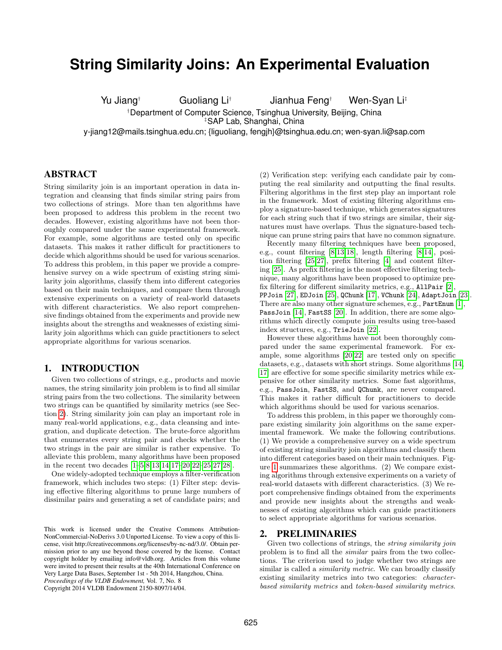# **String Similarity Joins: An Experimental Evaluation**

Yu Jiang† Guoliang Li† Jianhua Feng† Wen-Syan Li‡

†Department of Computer Science, Tsinghua University, Beijing, China

‡SAP Lab, Shanghai, China

y-jiang12@mails.tsinghua.edu.cn; {liguoliang, fengjh}@tsinghua.edu.cn; wen-syan.li@sap.com

# ABSTRACT

String similarity join is an important operation in data integration and cleansing that finds similar string pairs from two collections of strings. More than ten algorithms have been proposed to address this problem in the recent two decades. However, existing algorithms have not been thoroughly compared under the same experimental framework. For example, some algorithms are tested only on specific datasets. This makes it rather difficult for practitioners to decide which algorithms should be used for various scenarios. To address this problem, in this paper we provide a comprehensive survey on a wide spectrum of existing string similarity join algorithms, classify them into different categories based on their main techniques, and compare them through extensive experiments on a variety of real-world datasets with different characteristics. We also report comprehensive findings obtained from the experiments and provide new insights about the strengths and weaknesses of existing similarity join algorithms which can guide practitioners to select appropriate algorithms for various scenarios.

# 1. INTRODUCTION

Given two collections of strings, e.g., products and movie names, the string similarity join problem is to find all similar string pairs from the two collections. The similarity between two strings can be quantified by similarity metrics (see Section [2\)](#page-0-0). String similarity join can play an important role in many real-world applications, e.g., data cleansing and integration, and duplicate detection. The brute-force algorithm that enumerates every string pair and checks whether the two strings in the pair are similar is rather expensive. To alleviate this problem, many algorithms have been proposed in the recent two decades [\[1–](#page-11-0)[5](#page-11-1)[,8,](#page-11-2)[13](#page-11-3)[,14,](#page-11-4)[17–](#page-11-5)[20,](#page-11-6)[22–](#page-11-7)[25,](#page-11-8)[27,](#page-11-9)[28\]](#page-11-10).

One widely-adopted technique employs a filter-verification framework, which includes two steps: (1) Filter step: devising effective filtering algorithms to prune large numbers of dissimilar pairs and generating a set of candidate pairs; and

Copyright 2014 VLDB Endowment 2150-8097/14/04.

(2) Verification step: verifying each candidate pair by computing the real similarity and outputting the final results. Filtering algorithms in the first step play an important role in the framework. Most of existing filtering algorithms employ a signature-based technique, which generates signatures for each string such that if two strings are similar, their signatures must have overlaps. Thus the signature-based technique can prune string pairs that have no common signature.

Recently many filtering techniques have been proposed, e.g., count filtering [\[8,](#page-11-2)[13,](#page-11-3)[18\]](#page-11-11), length filtering [\[8,](#page-11-2)[14\]](#page-11-4), position filtering [\[25](#page-11-8)[,27\]](#page-11-9), prefix filtering [\[4\]](#page-11-12) and content filtering [\[25\]](#page-11-8). As prefix filtering is the most effective filtering technique, many algorithms have been proposed to optimize prefix filtering for different similarity metrics, e.g., AllPair [\[2\]](#page-11-13), PPJoin [\[27\]](#page-11-9), EDJoin [\[25\]](#page-11-8), QChunk [\[17\]](#page-11-5), VChunk [\[24\]](#page-11-14), AdaptJoin [\[23\]](#page-11-15). There are also many other signature schemes, e.g., PartEnum [\[1\]](#page-11-0), PassJoin [\[14\]](#page-11-4), FastSS [\[20\]](#page-11-6). In addition, there are some algorithms which directly compute join results using tree-based index structures, e.g., TrieJoin [\[22\]](#page-11-7).

However these algorithms have not been thoroughly compared under the same experimental framework. For example, some algorithms [\[20,](#page-11-6)[22\]](#page-11-7) are tested only on specific datasets, e.g., datasets with short strings. Some algorithms [\[14,](#page-11-4) [17\]](#page-11-5) are effective for some specific similarity metrics while expensive for other similarity metrics. Some fast algorithms, e.g., PassJoin, FastSS, and QChunk, are never compared. This makes it rather difficult for practitioners to decide which algorithms should be used for various scenarios.

To address this problem, in this paper we thoroughly compare existing similarity join algorithms on the same experimental framework. We make the following contributions. (1) We provide a comprehensive survey on a wide spectrum of existing string similarity join algorithms and classify them into different categories based on their main techniques. Figure [1](#page-1-0) summarizes these algorithms. (2) We compare existing algorithms through extensive experiments on a variety of real-world datasets with different characteristics. (3) We report comprehensive findings obtained from the experiments and provide new insights about the strengths and weaknesses of existing algorithms which can guide practitioners to select appropriate algorithms for various scenarios.

# <span id="page-0-0"></span>2. PRELIMINARIES

Given two collections of strings, the *string similarity join* problem is to find all the similar pairs from the two collections. The criterion used to judge whether two strings are similar is called a *similarity metric*. We can broadly classify existing similarity metrics into two categories: characterbased similarity metrics and token-based similarity metrics.

This work is licensed under the Creative Commons Attribution-NonCommercial-NoDerivs 3.0 Unported License. To view a copy of this license, visit http://creativecommons.org/licenses/by-nc-nd/3.0/. Obtain permission prior to any use beyond those covered by the license. Contact copyright holder by emailing info@vldb.org. Articles from this volume were invited to present their results at the 40th International Conference on Very Large Data Bases, September 1st - 5th 2014, Hangzhou, China. *Proceedings of the VLDB Endowment,* Vol. 7, No. 8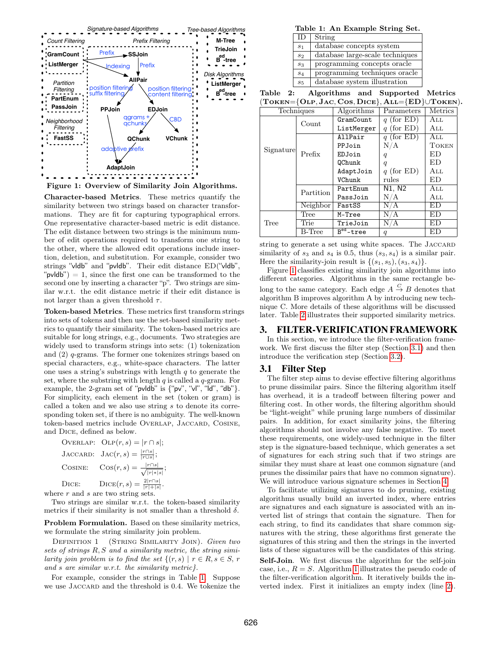

<span id="page-1-0"></span>Character-based Metrics. These metrics quantify the similarity between two strings based on character transformations. They are fit for capturing typographical errors. One representative character-based metric is edit distance. The edit distance between two strings is the minimum number of edit operations required to transform one string to the other, where the allowed edit operations include insertion, deletion, and substitution. For example, consider two strings "vldb" and "pvldb". Their edit distance ED("vldb", " $pvldb"$ ) = 1, since the first one can be transformed to the second one by inserting a character "p". Two strings are similar w.r.t. the edit distance metric if their edit distance is not larger than a given threshold  $\tau$ .

Token-based Metrics. These metrics first transform strings into sets of tokens and then use the set-based similarity metrics to quantify their similarity. The token-based metrics are suitable for long strings, e.g., documents. Two strategies are widely used to transform strings into sets: (1) tokenization and (2) q-grams. The former one tokenizes strings based on special characters, e.g., white-space characters. The latter one uses a string's substrings with length  $q$  to generate the set, where the substring with length  $q$  is called a  $q$ -gram. For example, the 2-gram set of "pvldb" is {"pv", "vl", "ld", "db"}. For simplicity, each element in the set (token or gram) is called a token and we also use string s to denote its corresponding token set, if there is no ambiguity. The well-known token-based metrics include OVERLAP, JACCARD, COSINE, and Dice, defined as below.

OVERLAP:  $OLP(r, s) = |r \cap s|;$ JACCARD:  $\operatorname{Jac}(r,s) = \frac{|r \cap s|}{|r \cup s|};$ COSINE:  $\text{Cos}(r, s) = \frac{|r \cap s|}{\sqrt{r}}$  $|r|*|s|$ ; DICE:  $Dice(r, s) = \frac{2|r\cap s|}{|r|+|s|}$ .

where  $r$  and  $s$  are two string sets.

Two strings are similar w.r.t. the token-based similarity metrics if their similarity is not smaller than a threshold  $\delta$ .

Problem Formulation. Based on these similarity metrics, we formulate the string similarity join problem.

DEFINITION 1 (STRING SIMILARITY JOIN). Given two sets of strings  $R, S$  and a similarity metric, the string similarity join problem is to find the set  $\{(r, s) | r \in R, s \in S, r\}$ and s are similar w.r.t. the similarity metric.

For example, consider the strings in Table [1.](#page-1-1) Suppose we use JACCARD and the threshold is 0.4. We tokenize the

<span id="page-1-1"></span>Table 1: An Example String Set.

| $\Box$         | String                          |
|----------------|---------------------------------|
| s <sub>1</sub> | database concepts system        |
| s <sub>2</sub> | database large-scale techniques |
| $s_3$          | programming concepts oracle     |
| $s_4$          | programming techniques oracle   |
| $s_{5}$        | database system illustration    |

<span id="page-1-2"></span>Table 2: Algorithms and Supported Metrics  $(TOKEN=\{OLP, Jac, CoS, DICE\} | ALL=\{ED\}|| TOKEN).$ 

| $10$ NEIV $-$   OEI, $9$ AU, OOS, DIUE $\beta$ , ABB $-$   DD $\beta$ I ONEIV |           |             |                  |                |  |
|-------------------------------------------------------------------------------|-----------|-------------|------------------|----------------|--|
| Techniques                                                                    |           | Algorithms  | Parameters       | <b>Metrics</b> |  |
|                                                                               | Count     | GramCount   | q (for ED)       | All            |  |
|                                                                               |           | ListMerger  | $q$ (for ED)     | All            |  |
|                                                                               |           | AllPair     | q (for ED)       | All            |  |
| Signature                                                                     |           | PPJoin      | N/A              | TOKEN          |  |
|                                                                               | Prefix    | EDJoin      | q                | ED             |  |
|                                                                               |           | QChunk      | $\boldsymbol{q}$ | ED             |  |
|                                                                               |           | AdaptJoin   | $q$ (for ED)     | All            |  |
|                                                                               |           | VChunk      | rules            | ED             |  |
|                                                                               | Partition | PartEnum    | N1, N2           | All            |  |
|                                                                               |           | PassJoin    | N/A              | All            |  |
|                                                                               | Neighbor  | FastSS      | N/A              | ED             |  |
|                                                                               | Tree      | M-Tree      | N/A              | ED             |  |
| Tree                                                                          | Trie      | TrieJoin    | N/A              | ED             |  |
|                                                                               | B-Tree    | $Bed$ -tree | q                | ED             |  |

string to generate a set using white spaces. The JACCARD similarity of  $s_3$  and  $s_4$  is 0.5, thus  $(s_3, s_4)$  is a similar pair. Here the similarity-join result is  $\{(s_1, s_5), (s_3, s_4)\}.$ 

Figure [1](#page-1-0) classifies existing similarity join algorithms into different categories. Algorithms in the same rectangle belong to the same category. Each edge  $A \stackrel{C}{\rightarrow} B$  denotes that algorithm B improves algorithm A by introducing new technique C. More details of these algorithms will be discussed later. Table [2](#page-1-2) illustrates their supported similarity metrics.

## 3. FILTER-VERIFICATION FRAMEWORK

In this section, we introduce the filter-verification framework. We first discuss the filter step (Section [3.1\)](#page-1-3) and then introduce the verification step (Section [3.2\)](#page-2-0).

#### <span id="page-1-3"></span>3.1 Filter Step

The filter step aims to devise effective filtering algorithms to prune dissimilar pairs. Since the filtering algorithm itself has overhead, it is a tradeoff between filtering power and filtering cost. In other words, the filtering algorithm should be "light-weight" while pruning large numbers of dissimilar pairs. In addition, for exact similarity joins, the filtering algorithms should not involve any false negative. To meet these requirements, one widely-used technique in the filter step is the signature-based technique, which generates a set of signatures for each string such that if two strings are similar they must share at least one common signature (and prunes the dissimilar pairs that have no common signature). We will introduce various signature schemes in Section [4.](#page-2-1)

To facilitate utilizing signatures to do pruning, existing algorithms usually build an inverted index, where entries are signatures and each signature is associated with an inverted list of strings that contain the signature. Then for each string, to find its candidates that share common signatures with the string, these algorithms first generate the signatures of this string and then the strings in the inverted lists of these signatures will be the candidates of this string.

Self-Join. We first discuss the algorithm for the self-join case, i.e.,  $R = S$ . Algorithm [1](#page-2-2) illustrates the pseudo code of the filter-verification algorithm. It iteratively builds the inverted index. First it initializes an empty index (line [2\)](#page-2-3).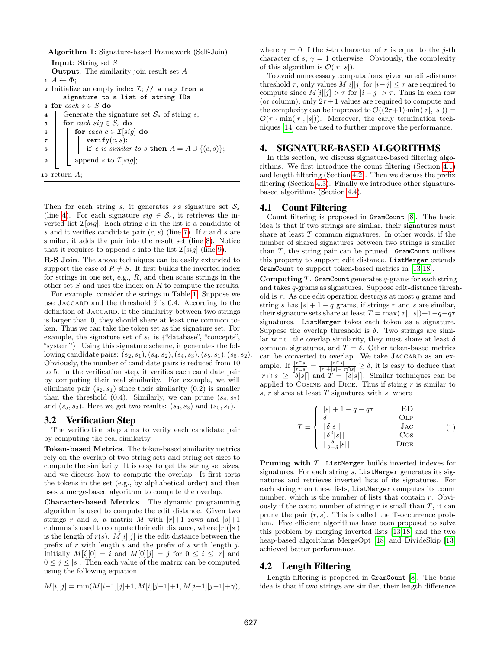<span id="page-2-4"></span><span id="page-2-3"></span><span id="page-2-2"></span>Algorithm 1: Signature-based Framework (Self-Join) Input: String set S Output: The similarity join result set A  $1 \ A \leftarrow \Phi$ ; 2 Initialize an empty index  $\mathcal{I}$ ; // a map from a signature to a list of string IDs 3 for each  $s \in S$  do 4 Generate the signature set  $S<sub>s</sub>$  of string s; 5 for each sig  $\in S_s$  do 6 **for** each  $c \in \mathcal{I}[sig]$  do  $\tau$  | | verify $(c, s)$ ; 8 if c is similar to s then  $A = A \cup \{(c, s)\};$  $\mathfrak{g}$  | append s to  $\mathcal{I}[sig];$ 10 return  $A$ ;

<span id="page-2-7"></span><span id="page-2-6"></span><span id="page-2-5"></span>Then for each string s, it generates s's signature set  $S_s$ (line [4\)](#page-2-4). For each signature  $sig \in \mathcal{S}_s$ , it retrieves the inverted list  $\mathcal{I}[sig]$ . Each string c in the list is a candidate of s and it verifies candidate pair  $(c, s)$  (line [7\)](#page-2-5). If c and s are similar, it adds the pair into the result set (line [8\)](#page-2-6). Notice that it requires to append s into the list  $\mathcal{I}[sig]$  (line [9\)](#page-2-7).

R-S Join. The above techniques can be easily extended to support the case of  $R \neq S$ . It first builds the inverted index for strings in one set, e.g.,  $R$ , and then scans strings in the other set  $S$  and uses the index on  $R$  to compute the results.

For example, consider the strings in Table [1.](#page-1-1) Suppose we use JACCARD and the threshold  $\delta$  is 0.4. According to the definition of JACCARD, if the similarity between two strings is larger than 0, they should share at least one common token. Thus we can take the token set as the signature set. For example, the signature set of  $s_1$  is {"database", "concepts", "system"}. Using this signature scheme, it generates the following candidate pairs:  $(s_2, s_1), (s_4, s_2), (s_4, s_3), (s_5, s_1), (s_5, s_2).$ Obviously, the number of candidate pairs is reduced from 10 to 5. In the verification step, it verifies each candidate pair by computing their real similarity. For example, we will eliminate pair  $(s_2, s_1)$  since their similarity  $(0.2)$  is smaller than the threshold  $(0.4)$ . Similarly, we can prune  $(s_4, s_2)$ and  $(s_5, s_2)$ . Here we get two results:  $(s_4, s_3)$  and  $(s_5, s_1)$ .

# <span id="page-2-0"></span>3.2 Verification Step

The verification step aims to verify each candidate pair by computing the real similarity.

Token-based Metrics. The token-based similarity metrics rely on the overlap of two string sets and string set sizes to compute the similarity. It is easy to get the string set sizes, and we discuss how to compute the overlap. It first sorts the tokens in the set (e.g., by alphabetical order) and then uses a merge-based algorithm to compute the overlap.

Character-based Metrics. The dynamic programming algorithm is used to compute the edit distance. Given two strings r and s, a matrix M with  $|r|+1$  rows and  $|s|+1$ columns is used to compute their edit distance, where  $|r|(|s|)$ is the length of  $r(s)$ .  $M[i][j]$  is the edit distance between the prefix of  $r$  with length  $i$  and the prefix of  $s$  with length  $j$ . Initially  $M[i][0] = i$  and  $M[0][j] = j$  for  $0 \le i \le |r|$  and  $0 \leq j \leq |s|$ . Then each value of the matrix can be computed using the following equation,

$$
M[i][j] = \min(M[i-1][j]+1, M[i][j-1]+1, M[i-1][j-1]+ \gamma),
$$

where  $\gamma = 0$  if the *i*-th character of r is equal to the j-th character of s;  $\gamma = 1$  otherwise. Obviously, the complexity of this algorithm is  $\mathcal{O}(|r||s|)$ .

To avoid unnecessary computations, given an edit-distance threshold  $\tau$ , only values  $M[i][j]$  for  $|i-j| \leq \tau$  are required to compute since  $M[i][j] > \tau$  for  $|i - j| > \tau$ . Thus in each row (or column), only  $2\tau+1$  values are required to compute and the complexity can be improved to  $\mathcal{O}((2\tau+1)\cdot\min(|r|,|s|))$  =  $\mathcal{O}(\tau \cdot \min(|r|, |s|))$ . Moreover, the early termination techniques [\[14\]](#page-11-4) can be used to further improve the performance.

# <span id="page-2-1"></span>4. SIGNATURE-BASED ALGORITHMS

In this section, we discuss signature-based filtering algorithms. We first introduce the count filtering (Section [4.1\)](#page-2-8) and length filtering (Section [4.2\)](#page-2-9). Then we discuss the prefix filtering (Section [4.3\)](#page-3-0). Finally we introduce other signaturebased algorithms (Section [4.4\)](#page-4-0).

## <span id="page-2-8"></span>4.1 Count Filtering

Count filtering is proposed in GramCount [\[8\]](#page-11-2). The basic idea is that if two strings are similar, their signatures must share at least  $T$  common signatures. In other words, if the number of shared signatures between two strings is smaller than  $T$ , the string pair can be pruned. GramCount utilizes this property to support edit distance. ListMerger extends GramCount to support token-based metrics in [\[13,](#page-11-3)[18\]](#page-11-11).

**Computing T. GramCount** generates  $q$ -grams for each string and takes q-grams as signatures. Suppose edit-distance threshold is  $\tau$ . As one edit operation destroys at most q grams and string s has  $|s| + 1 - q$  grams, if strings r and s are similar, their signature sets share at least  $T = \max(|r|, |s|)+1-q-q\tau$ signatures. ListMerger takes each token as a signature. Suppose the overlap threshold is  $\delta$ . Two strings are similar w.r.t. the overlap similarity, they must share at least  $\delta$ common signatures, and  $T = \delta$ . Other token-based metrics can be converted to overlap. We take JACCARD as an example. If  $\frac{|r\cap s|}{|r\cup s|} = \frac{|r\cap s|}{|r|+|s|-|r\cap s|} \ge \delta$ , it is easy to deduce that  $|r \cap s| \geq \lceil \delta |s| \rceil$  and  $T = \lceil \delta |s| \rceil$ . Similar techniques can be applied to COSINE and DICE. Thus if string  $r$  is similar to s,  $r$  shares at least  $T$  signatures with  $s$ , where

<span id="page-2-10"></span>
$$
T = \begin{cases} |s| + 1 - q - q\tau & \text{ED} \\ \delta & \text{OLP} \\ \lceil \delta |s| \rceil & \text{Jac} \\ \lceil \delta^2 |s| \rceil & \text{Cos} \\ \lceil \frac{\delta}{2 - \delta} |s| \rceil & \text{Dice} \end{cases}
$$
 (1)

Pruning with T. ListMerger builds inverted indexes for signatures. For each string  $s$ , ListMerger generates its signatures and retrieves inverted lists of its signatures. For each string  $r$  on these lists, ListMerger computes its count number, which is the number of lists that contain r. Obviously if the count number of string  $r$  is small than  $T$ , it can prune the pair  $(r, s)$ . This is called the T-occurrence problem. Five efficient algorithms have been proposed to solve this problem by merging inverted lists [\[13,](#page-11-3)[18\]](#page-11-11) and the two heap-based algorithms MergeOpt [\[18\]](#page-11-11) and DivideSkip [\[13\]](#page-11-3) achieved better performance.

# <span id="page-2-9"></span>4.2 Length Filtering

Length filtering is proposed in GramCount [\[8\]](#page-11-2). The basic idea is that if two strings are similar, their length difference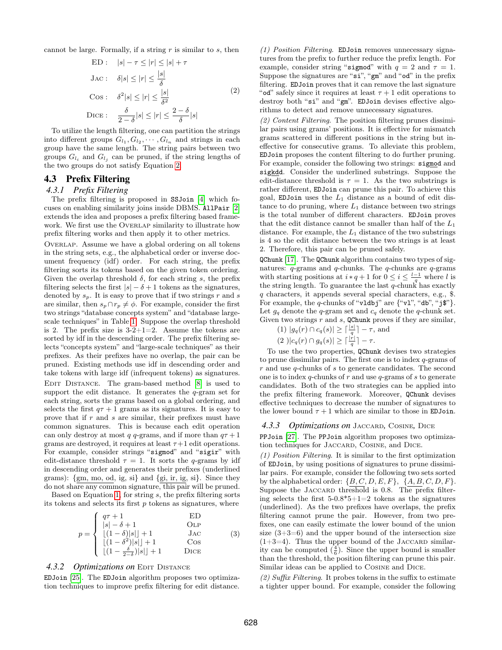<span id="page-3-1"></span>cannot be large. Formally, if a string  $r$  is similar to  $s$ , then

$$
\text{ED}: \quad |s| - \tau \le |r| \le |s| + \tau
$$
\n
$$
\text{Jac}: \quad \delta|s| \le |r| \le \frac{|s|}{\delta}
$$
\n
$$
\text{Cos}: \quad \delta^2|s| \le |r| \le \frac{|s|}{\delta^2}
$$
\n
$$
\text{DICE}: \quad \frac{\delta}{2 - \delta}|s| \le |r| \le \frac{2 - \delta}{\delta}|s|
$$
\n
$$
(2)
$$

To utilize the length filtering, one can partition the strings into different groups  $G_{l_1}, G_{l_2}, \cdots, G_{l_n}$  and strings in each group have the same length. The string pairs between two groups  $G_{l_i}$  and  $G_{l_j}$  can be pruned, if the string lengths of the two groups do not satisfy Equation [2.](#page-3-1)

## <span id="page-3-0"></span>4.3 Prefix Filtering

## *4.3.1 Prefix Filtering*

The prefix filtering is proposed in SSJoin [\[4\]](#page-11-12) which focuses on enabling similarity joins inside DBMS. AllPair [\[2\]](#page-11-13) extends the idea and proposes a prefix filtering based framework. We first use the OVERLAP similarity to illustrate how prefix filtering works and then apply it to other metrics.

Overlap. Assume we have a global ordering on all tokens in the string sets, e.g., the alphabetical order or inverse document frequency (idf) order. For each string, the prefix filtering sorts its tokens based on the given token ordering. Given the overlap threshold  $\delta$ , for each string s, the prefix filtering selects the first  $|s| - \delta + 1$  tokens as the signatures, denoted by  $s_p$ . It is easy to prove that if two strings r and s are similar, then  $s_p \cap r_p \neq \phi$ . For example, consider the first two strings "database concepts system" and "database largescale techniques" in Table [1.](#page-1-1) Suppose the overlap threshold is 2. The prefix size is  $3-2+1=2$ . Assume the tokens are sorted by idf in the descending order. The prefix filtering selects "concepts system" and "large-scale techniques" as their prefixes. As their prefixes have no overlap, the pair can be pruned. Existing methods use idf in descending order and take tokens with large idf (infrequent tokens) as signatures. EDIT DISTANCE. The gram-based method [\[8\]](#page-11-2) is used to support the edit distance. It generates the  $q$ -gram set for each string, sorts the grams based on a global ordering, and selects the first  $q\tau + 1$  grams as its signatures. It is easy to prove that if r and s are similar, their prefixes must have common signatures. This is because each edit operation can only destroy at most q q-grams, and if more than  $q\tau + 1$ grams are destroyed, it requires at least  $\tau+1$  edit operations. For example, consider strings "sigmod" and "sigir" with edit-distance threshold  $\tau = 1$ . It sorts the q-grams by idf in descending order and generates their prefixes (underlined grams): {gm, mo, od, ig, si} and {gi, ir, ig, si}. Since they do not share any common signature, this pair will be pruned.

Based on Equation [1,](#page-2-10) for string s, the prefix filtering sorts its tokens and selects its first  $p$  tokens as signatures, where

$$
p = \begin{cases} q\tau + 1 & \text{ED} \\ |s| - \delta + 1 & \text{OLP} \\ \lfloor (1 - \delta) |s| \rfloor + 1 & \text{Jac} \\ \lfloor (1 - \delta^2) |s| \rfloor + 1 & \text{Cos} \\ \lfloor (1 - \frac{\delta}{2 - \delta}) |s| \rfloor + 1 & \text{Dice} \end{cases}
$$
(3)

## 4.3.2 Optimizations on EDIT DISTANCE

EDJoin [\[25\]](#page-11-8). The EDJoin algorithm proposes two optimization techniques to improve prefix filtering for edit distance.

(1) Position Filtering. EDJoin removes unnecessary signatures from the prefix to further reduce the prefix length. For example, consider string "sigmod" with  $q = 2$  and  $\tau = 1$ . Suppose the signatures are "si", "gm" and "od" in the prefix filtering. EDJoin proves that it can remove the last signature "od" safely since it requires at least  $\tau + 1$  edit operations to destroy both "si" and "gm". EDJoin devises effective algorithms to detect and remove unnecessary signatures.

(2) Content Filtering. The position filtering prunes dissimilar pairs using grams' positions. It is effective for mismatch grams scattered in different positions in the string but ineffective for consecutive grams. To alleviate this problem, EDJoin proposes the content filtering to do further pruning. For example, consider the following two strings: sigmod and sigkdd. Consider the underlined substrings. Suppose the edit-distance threshold is  $\tau = 1$ . As the two substrings is rather different, EDJoin can prune this pair. To achieve this goal, EDJoin uses the  $L_1$  distance as a bound of edit distance to do pruning, where  $L_1$  distance between two strings is the total number of different characters. EDJoin proves that the edit distance cannot be smaller than half of the  $L_1$ distance. For example, the  $L_1$  distance of the two substrings is 4 so the edit distance between the two strings is at least 2. Therefore, this pair can be pruned safely.

QChunk [\[17\]](#page-11-5). The QChunk algorithm contains two types of signatures:  $q$ -grams and  $q$ -chunks. The  $q$ -chunks are  $q$ -grams with starting positions at  $i * q + 1$  for  $0 \leq i \leq \frac{l-1}{q}$  where l is the string length. To guarantee the last  $q$ -chunk has exactly q characters, it appends several special characters, e.g., \$. For example, the q-chunks of "vldbj" are  $\{\text{``v1''}, \text{``db''}, \text{``j$''}\}.$ Let  $g_q$  denote the q-gram set and  $c_q$  denote the q-chunk set. Given two strings  $r$  and  $s$ , QChunk proves if they are similar,

(1) 
$$
|g_q(r) \cap c_q(s)| \ge \lceil \frac{|s|}{q} \rceil - \tau
$$
, and

$$
(2)|c_q(r)\cap g_q(s)|\geq \lceil\frac{|r|}{q}\rceil-\tau.
$$

To use the two properties, QChunk devises two strategies to prune dissimilar pairs. The first one is to index  $q$ -grams of r and use q-chunks of s to generate candidates. The second one is to index q-chunks of  $r$  and use  $q$ -grams of  $s$  to generate candidates. Both of the two strategies can be applied into the prefix filtering framework. Moreover, QChunk devises effective techniques to decrease the number of signatures to the lower bound  $\tau + 1$  which are similar to those in EDJoin.

#### <span id="page-3-2"></span>*4.3.3 Optimizations on* Jaccard*,* Cosine*,* Dice

PPJoin [\[27\]](#page-11-9). The PPJoin algorithm proposes two optimization techniques for JACCARD, COSINE, and DICE.

(1) Position Filtering. It is similar to the first optimization of EDJoin, by using positions of signatures to prune dissimilar pairs. For example, consider the following two sets sorted by the alphabetical order:  $\{B, C, D, E, F\}, \{A, B, C, D, F\}.$ Suppose the JACCARD threshold is 0.8. The prefix filtering selects the first  $5{\text -}0.8^*5{\text +}1{\text =}2$  tokens as the signatures (underlined). As the two prefixes have overlaps, the prefix filtering cannot prune the pair. However, from two prefixes, one can easily estimate the lower bound of the union size  $(3+3=6)$  and the upper bound of the intersection size  $(1+3=4)$ . Thus the upper bound of the JACCARD similarity can be computed  $(\frac{4}{6})$ . Since the upper bound is smaller than the threshold, the position filtering can prune this pair. Similar ideas can be applied to Cosine and Dice.

 $(2)$  Suffix Filtering. It probes tokens in the suffix to estimate a tighter upper bound. For example, consider the following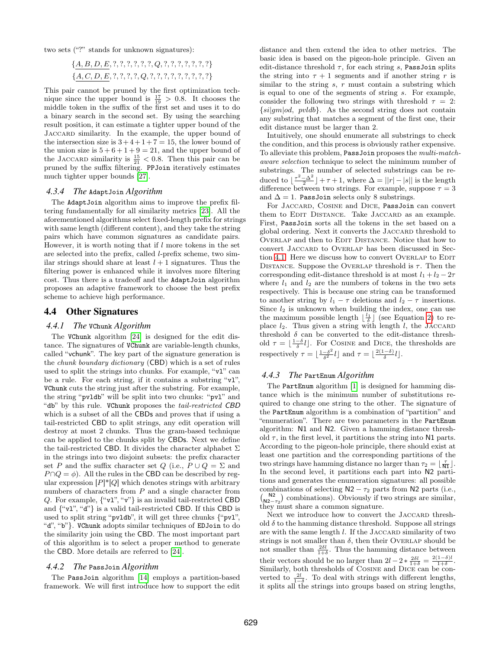two sets ("?" stands for unknown signatures):

$$
\{A, B, D, E, ?, ?, ?, ?, ?, Q, ?, ?, ?, ?, ?, ?\}
$$
  

$$
\{A, C, D, E, ?, ?, ?, Q, ?, ?, ?, ?, ?, ?, ?, ?\}
$$

This pair cannot be pruned by the first optimization technique since the upper bound is  $\frac{17}{19} > 0.8$ . It chooses the middle token in the suffix of the first set and uses it to do a binary search in the second set. By using the searching result position, it can estimate a tighter upper bound of the Jaccard similarity. In the example, the upper bound of the intersection size is  $3+4+1+7=15$ , the lower bound of the union size is  $5+6+1+9=21$ , and the upper bound of the JACCARD similarity is  $\frac{15}{21}$  < 0.8. Then this pair can be pruned by the suffix filtering. PPJoin iteratively estimates much tighter upper bounds [\[27\]](#page-11-9).

#### *4.3.4 The* AdaptJoin *Algorithm*

The AdaptJoin algorithm aims to improve the prefix filtering fundamentally for all similarity metrics [\[23\]](#page-11-15). All the aforementioned algorithms select fixed-length prefix for strings with same length (different content), and they take the string pairs which have common signatures as candidate pairs. However, it is worth noting that if  $l$  more tokens in the set are selected into the prefix, called l-prefix scheme, two similar strings should share at least  $l + 1$  signatures. Thus the filtering power is enhanced while it involves more filtering cost. Thus there is a tradeoff and the AdaptJoin algorithm proposes an adaptive framework to choose the best prefix scheme to achieve high performance.

# <span id="page-4-0"></span>4.4 Other Signatures

## *4.4.1 The* VChunk *Algorithm*

The VChunk algorithm [\[24\]](#page-11-14) is designed for the edit distance. The signatures of VChunk are variable-length chunks, called "vchunk". The key part of the signature generation is the chunk boundary dictionary (CBD) which is a set of rules used to split the strings into chunks. For example, "vl" can be a rule. For each string, if it contains a substring "vl", VChunk cuts the string just after the substring. For example, the string "pvldb" will be split into two chunks: "pvl" and "db" by this rule. VChunk proposes the tail-restricted CBD which is a subset of all the CBDs and proves that if using a tail-restricted CBD to split strings, any edit operation will destroy at most 2 chunks. Thus the gram-based technique can be applied to the chunks split by CBDs. Next we define the tail-restricted CBD. It divides the character alphabet  $\Sigma$ in the strings into two disjoint subsets: the prefix character set P and the suffix character set Q (i.e.,  $P \cup Q = \Sigma$  and  $P \cap Q = \phi$ ). All the rules in the CBD can be described by regular expression  $[P]^*[Q]$  which denotes strings with arbitrary numbers of characters from  $P$  and a single character from Q. For example,  $\{\text{``v1''}, \text{``v''}\}$  is an invalid tail-restricted CBD and  $\{``v1", "d"\}$  is a valid tail-restricted CBD. If this CBD is used to split string "pvldb", it will get three chunks {"pvl", "d", "b"}. VChunk adopts similar techniques of EDJoin to do the similarity join using the CBD. The most important part of this algorithm is to select a proper method to generate the CBD. More details are referred to [\[24\]](#page-11-14).

#### *4.4.2 The* PassJoin *Algorithm*

The PassJoin algorithm [\[14\]](#page-11-4) employs a partition-based framework. We will first introduce how to support the edit

distance and then extend the idea to other metrics. The basic idea is based on the pigeon-hole principle. Given an edit-distance threshold  $\tau$ , for each string s, PassJoin splits the string into  $\tau + 1$  segments and if another string r is similar to the string  $s, r$  must contain a substring which is equal to one of the segments of string s. For example, consider the following two strings with threshold  $\tau = 2$ :  $\{si|gm|od, pvldb\}$ . As the second string does not contain any substring that matches a segment of the first one, their edit distance must be larger than 2.

Intuitively, one should enumerate all substrings to check the condition, and this process is obviously rather expensive. To alleviate this problem, PassJoin proposes the multi-matchaware selection technique to select the minimum number of substrings. The number of selected substrings can be reduced to  $\lfloor \frac{\tau^2 - \Delta^2}{2} \rfloor + \tau + 1$ , where  $\Delta = ||r| - |s||$  is the length difference between two strings. For example, suppose  $\tau = 3$ and  $\Delta = 1$ . PassJoin selects only 8 substrings.

For JACCARD, COSINE and DICE, PassJoin can convert them to EDIT DISTANCE. Take JACCARD as an example. First, PassJoin sorts all the tokens in the set based on a global ordering. Next it converts the JACCARD threshold to OVERLAP and then to EDIT DISTANCE. Notice that how to convert Jaccard to Overlap has been discussed in Sec-tion [4.1.](#page-2-8) Here we discuss how to convert OVERLAP to EDIT DISTANCE. Suppose the OVERLAP threshold is  $\tau$ . Then the corresponding edit-distance threshold is at most  $l_1 + l_2 - 2\tau$ where  $l_1$  and  $l_2$  are the numbers of tokens in the two sets respectively. This is because one string can be transformed to another string by  $l_1 - \tau$  deletions and  $l_2 - \tau$  insertions. Since  $l_2$  is unknown when building the index, one can use the maximum possible length  $\lfloor \frac{l_1}{\delta} \rfloor$  (see Equation [2\)](#page-3-1) to replace  $l_2$ . Thus given a string with length l, the JACCARD threshold  $\delta$  can be converted to the edit-distance threshold  $\tau = \lfloor \frac{1-\delta}{\delta}l \rfloor$ . For Cosine and Dice, the thresholds are respectively  $\tau = \frac{1-\delta^2}{\delta^2}$  $\frac{-\delta^2}{\delta^2}l$  and  $\tau = \lfloor \frac{2(1-\delta)}{\delta}l \rfloor$ .

#### *4.4.3 The* PartEnum *Algorithm*

The PartEnum algorithm [\[1\]](#page-11-0) is designed for hamming distance which is the minimum number of substitutions required to change one string to the other. The signature of the PartEnum algorithm is a combination of "partition" and "enumeration". There are two parameters in the PartEnum algorithm: N1 and N2. Given a hamming distance threshold  $\tau$ , in the first level, it partitions the string into N1 parts. According to the pigeon-hole principle, there should exist at least one partition and the corresponding partitions of the two strings have hamming distance no larger than  $\tau_2 = \lfloor \frac{\tau}{N1} \rfloor$ . In the second level, it partitions each part into N2 partitions and generates the enumeration signatures: all possible combinations of selecting  $N2 - \tau_2$  parts from N2 parts (i.e.,  $\binom{N2}{N2-\tau_2}$  combinations). Obviously if two strings are similar, they must share a common signature.

Next we introduce how to convert the JACCARD threshold  $\delta$  to the hamming distance threshold. Suppose all strings are with the same length  $l$ . If the JACCARD similarity of two strings is not smaller than  $\delta$ , then their Overlap should be not smaller than  $\frac{2\delta l}{1+\delta}$ . Thus the hamming distance between their vectors should be no larger than  $2l - 2 * \frac{2\delta l}{1+\delta} = \frac{2(1-\delta)l}{1+\delta}$ . Similarly, both thresholds of Cosine and Dice can be converted to  $\frac{2l}{1-\delta}$ . To deal with strings with different lengths, it splits all the strings into groups based on string lengths,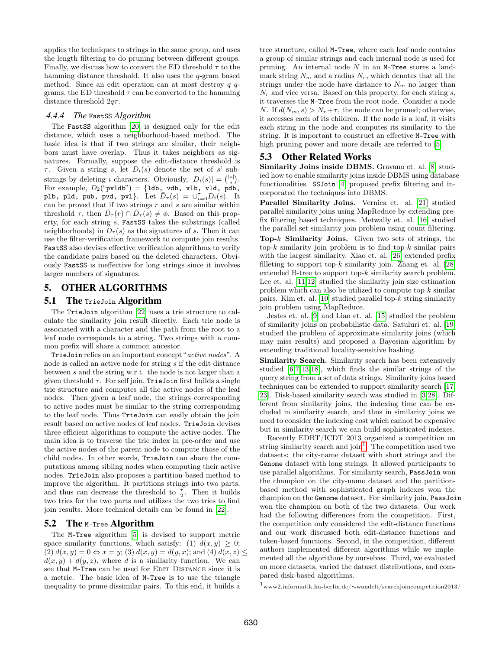applies the techniques to strings in the same group, and uses the length filtering to do pruning between different groups. Finally, we discuss how to convert the ED threshold  $\tau$  to the hamming distance threshold. It also uses the q-gram based method. Since an edit operation can at most destroy  $q$   $q$ grams, the ED threshold  $\tau$  can be converted to the hamming distance threshold  $2q\tau$ .

## *4.4.4 The* FastSS *Algorithm*

The FastSS algorithm [\[20\]](#page-11-6) is designed only for the edit distance, which uses a neighborhood-based method. The basic idea is that if two strings are similar, their neighbors must have overlap. Thus it takes neighbors as signatures. Formally, suppose the edit-distance threshold is  $\tau$ . Given a string s, let  $D_i(s)$  denote the set of s' substrings by deleting *i* characters. Obviously,  $|D_i(s)| = {|\begin{bmatrix} |s| \\ i \end{bmatrix}}$ . For example,  $D_2$ ("pvldb") = {1db, vdb, vlb, vld, pdb, plb, pld, pub, pvd, pvl}. Let  $\bar{D}_{\tau}(s) = \cup_{i=0}^{\tau} D_i(s)$ . It can be proved that if two strings  $r$  and  $s$  are similar within threshold  $\tau$ , then  $\bar{D}_{\tau}(r) \cap \bar{D}_{\tau}(s) \neq \phi$ . Based on this property, for each string s, FastSS takes the substrings (called neighborhoods) in  $\bar{D}_{\tau}(s)$  as the signatures of s. Then it can use the filter-verification framework to compute join results. FastSS also devises effective verification algorithms to verify the candidate pairs based on the deleted characters. Obviously FastSS is ineffective for long strings since it involves larger numbers of signatures.

# 5. OTHER ALGORITHMS

# <span id="page-5-1"></span>5.1 The TrieJoin Algorithm

The TrieJoin algorithm [\[22\]](#page-11-7) uses a trie structure to calculate the similarity join result directly. Each trie node is associated with a character and the path from the root to a leaf node corresponds to a string. Two strings with a common prefix will share a common ancestor.

TrieJoin relies on an important concept "active nodes". A node is called an active node for string s if the edit distance between s and the string w.r.t. the node is not larger than a given threshold  $\tau$ . For self join, TrieJoin first builds a single trie structure and computes all the active nodes of the leaf nodes. Then given a leaf node, the strings corresponding to active nodes must be similar to the string corresponding to the leaf node. Thus TrieJoin can easily obtain the join result based on active nodes of leaf nodes. TrieJoin devises three efficient algorithms to compute the active nodes. The main idea is to traverse the trie index in pre-order and use the active nodes of the parent node to compute those of the child nodes. In other words, TrieJoin can share the computations among sibling nodes when computing their active nodes. TrieJoin also proposes a partition-based method to improve the algorithm. It partitions strings into two parts, and thus can decrease the threshold to  $\frac{\tau}{2}$ . Then it builds two tries for the two parts and utilizes the two tries to find join results. More technical details can be found in [\[22\]](#page-11-7).

# 5.2 The M-Tree Algorithm

The M-Tree algorithm [\[5\]](#page-11-1) is devised to support metric space similarity functions, which satisfy: (1)  $d(x, y) \geq 0$ ; (2)  $d(x, y) = 0 \Leftrightarrow x = y$ ; (3)  $d(x, y) = d(y, x)$ ; and (4)  $d(x, z) \le$  $d(x, y) + d(y, z)$ , where d is a similarity function. We can see that M-Tree can be used for EDIT DISTANCE since it is a metric. The basic idea of M-Tree is to use the triangle inequality to prune dissimilar pairs. To this end, it builds a

tree structure, called M-Tree, where each leaf node contains a group of similar strings and each internal node is used for pruning. An internal node  $N$  in an M-Tree stores a landmark string  $N_m$  and a radius  $N_r$ , which denotes that all the strings under the node have distance to  $N_m$  no larger than  $N_r$  and vice versa. Based on this property, for each string s, it traverses the M-Tree from the root node. Consider a node N. If  $d(N_m, s) > N_r + \tau$ , the node can be pruned; otherwise, it accesses each of its children. If the node is a leaf, it visits each string in the node and computes its similarity to the string. It is important to construct an effective M-Tree with high pruning power and more details are referred to  $[5]$ .

# 5.3 Other Related Works

Similarity Joins inside DBMS. Gravano et. al. [\[8\]](#page-11-2) studied how to enable similarity joins inside DBMS using database functionalities. SSJoin [\[4\]](#page-11-12) proposed prefix filtering and incorporated the techniques into DBMS.

Parallel Similarity Joins. Vernica et. al. [\[21\]](#page-11-16) studied parallel similarity joins using MapReduce by extending prefix filtering based techniques. Metwally et. al. [\[16\]](#page-11-17) studied the parallel set similarity join problem using count filtering. Top- $k$  Similarity Joins. Given two sets of strings, the top- $k$  similarity join problem is to find top- $k$  similar pairs with the largest similarity. Xiao et. al. [\[26\]](#page-11-18) extended prefix filleting to support top- $k$  similarity join. Zhang et. al. [\[28\]](#page-11-10) extended B-tree to support top-k similarity search problem. Lee et. al. [\[11](#page-11-19)[,12\]](#page-11-20) studied the similarity join size estimation problem which can also be utilized to compute top- $k$  similar pairs. Kim et. al.  $[10]$  studied parallel top- $k$  string similarity join problem using MapReduce.

Jestes et. al. [\[9\]](#page-11-22) and Lian et. al. [\[15\]](#page-11-23) studied the problem of similarity joins on probabilistic data. Satuluri et. al. [\[19\]](#page-11-24) studied the problem of approximate similarity joins (which may miss results) and proposed a Bayesian algorithm by extending traditional locality-sensitive hashing.

Similarity Search. Similarity search has been extensively studied [\[6](#page-11-25)[,7,](#page-11-26)[13](#page-11-3)[,18\]](#page-11-11), which finds the similar strings of the query string from a set of data strings. Similarity joins based techniques can be extended to support similarity search [\[17,](#page-11-5) [23\]](#page-11-15). Disk-based similarity search was studied in [\[3,](#page-11-27)[28\]](#page-11-10). Different from similarity joins, the indexing time can be excluded in similarity search, and thus in similarity joins we need to consider the indexing cost which cannot be expensive but in similarity search we can build sophisticated indexes.

Recently EDBT/ICDT 2013 organized a competition on string similarity search and join<sup>[1](#page-5-0)</sup>. The competition used two datasets: the city-name dataset with short strings and the Genome dataset with long strings. It allowed participants to use parallel algorithms. For similarity search, PassJoin won the champion on the city-name dataset and the partitionbased method with sophisticated graph indexes won the champion on the Genome dataset. For similarity join, PassJoin won the champion on both of the two datasets. Our work had the following differences from the competition. First, the competition only considered the edit-distance functions and our work discussed both edit-distance functions and token-based functions. Second, in the competition, different authors implemented different algorithms while we implemented all the algorithms by ourselves. Third, we evaluated on more datasets, varied the dataset distributions, and compared disk-based algorithms.

<span id="page-5-0"></span><sup>1</sup>www2.informatik.hu-berlin.de/∼wandelt/searchjoincompetition2013/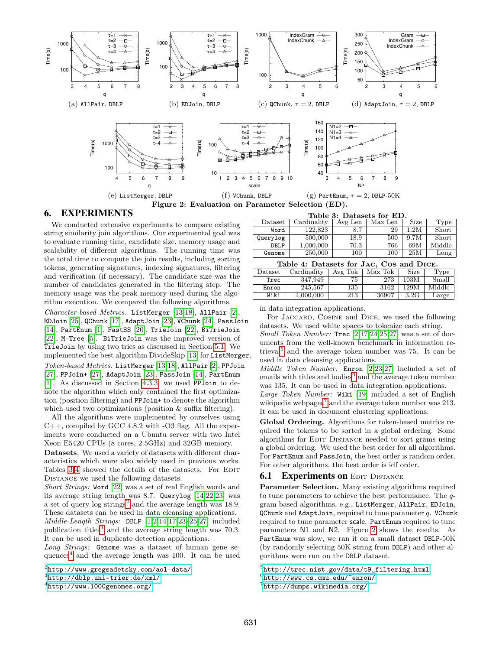<span id="page-6-9"></span>

# 6. EXPERIMENTS

We conducted extensive experiments to compare existing string similarity join algorithms. Our experimental goal was to evaluate running time, candidate size, memory usage and scalability of different algorithms. The running time was the total time to compute the join results, including sorting tokens, generating signatures, indexing signatures, filtering and verification (if necessary). The candidate size was the number of candidates generated in the filtering step. The memory usage was the peak memory used during the algorithm execution. We compared the following algorithms.

Character-based Metrics. ListMerger [\[13,](#page-11-3)[18\]](#page-11-11), AllPair [\[2\]](#page-11-13), EDJoin [\[25\]](#page-11-8), QChunk [\[17\]](#page-11-5), AdaptJoin [\[23\]](#page-11-15), VChunk [\[24\]](#page-11-14), PassJoin [\[14\]](#page-11-4), PartEnum [\[1\]](#page-11-0), FastSS [\[20\]](#page-11-6), TrieJoin [\[22\]](#page-11-7), BiTrieJoin [\[22\]](#page-11-7), M-Tree [\[5\]](#page-11-1). BiTrieJoin was the improved version of TrieJoin by using two tries as discussed in Section [5.1.](#page-5-1) We implemented the best algorithm DivideSkip [\[13\]](#page-11-3) for ListMerger. Token-based Metrics. ListMerger [\[13](#page-11-3)[,18\]](#page-11-11), AllPair [\[2\]](#page-11-13), PPJoin [\[27\]](#page-11-9), PPJoin+ [\[27\]](#page-11-9), AdaptJoin [\[23\]](#page-11-15), PassJoin [\[14\]](#page-11-4), PartEnum [\[1\]](#page-11-0). As discussed in Section [4.3.3,](#page-3-2) we used PPJoin to denote the algorithm which only contained the first optimization (position filtering) and PPJoin+ to denote the algorithm which used two optimizations (position  $\&$  suffix filtering).

All the algorithms were implemented by ourselves using  $C_{++}$ , compiled by GCC 4.8.2 with  $-O3$  flag. All the experiments were conducted on a Ubuntu server with two Intel Xeon E5420 CPUs (8 cores, 2.5GHz) and 32GB memory.

Datasets. We used a variety of datasets with different characteristics which were also widely used in previous works. Tables [3-](#page-6-0)[4](#page-6-1) showed the details of the datasets. For EDIT Distance we used the following datasets.

Short Strings: Word [\[22\]](#page-11-7) was a set of real English words and its average string length was 8.7. Querylog [\[14](#page-11-4)[,22,](#page-11-7)[23\]](#page-11-15) was a set of query  $\log$  strings<sup>[2](#page-6-2)</sup> and the average length was 18.9. These datasets can be used in data cleansing applications. Middle-Length Strings: DBLP [\[1,](#page-11-0)[2](#page-11-13)[,14,](#page-11-4)[17](#page-11-5)[,23–](#page-11-15)[25](#page-11-8)[,27\]](#page-11-9) included publication titles<sup>[3](#page-6-3)</sup> and the average string length was  $70.3$ . It can be used in duplicate detection applications.

Long Strings: Genome was a dataset of human gene sequences[4](#page-6-4) and the average length was 100. It can be used

<span id="page-6-8"></span><span id="page-6-0"></span>

|                                                         | Table 3: Datasets for ED. |                          |
|---------------------------------------------------------|---------------------------|--------------------------|
| Dataset   Cardinality   Avg Len   Max Len   Size   Type |                           |                          |
| $Word \t 199893$                                        |                           | $29 \mid 12M \mid$ Short |

| Word     | 122.823   | 8.7  | 29  | .2M  | Short  |
|----------|-----------|------|-----|------|--------|
| Querylog | 500,000   | 18.9 | 500 | 9.7M | Short  |
| DBLP     | 1,000,000 | 70.3 | 766 | 69M  | Middle |
| Genome   | 250,000   | 100  | 100 | 25M  | Long   |

<span id="page-6-1"></span>

| Lable 4. Datasets for GAC, COS and DICE. |             |         |         |      |        |  |
|------------------------------------------|-------------|---------|---------|------|--------|--|
| $\text{Dataset}$                         | Cardinality | Avg Tok | Max Tok | Size | Type   |  |
| Trec                                     | 347.949     | 75      | 273     | 103M | Small  |  |
| Enron                                    | 245,567     | 135     | 3162    | 129M | Middle |  |
| Wiki                                     | 4,000,000   | 213     | 36907   | 3.2G | Large  |  |

in data integration applications.

For JACCARD, COSINE and DICE, we used the following datasets. We used white spaces to tokenize each string.

Small Token Number: Trec [\[2,](#page-11-13)[17](#page-11-5)[,24,](#page-11-14)[25](#page-11-8)[,27\]](#page-11-9) was a set of documents from the well-known benchmark in information re-trieval<sup>[5](#page-6-5)</sup> and the average token number was 75. It can be used in data cleansing applications.

Middle Token Number: Enron [\[2,](#page-11-13)[23](#page-11-15)[,27\]](#page-11-9) included a set of emails with titles and bodies<sup>[6](#page-6-6)</sup> and the average token number was 135. It can be used in data integration applications.

Large Token Number: Wiki [\[19\]](#page-11-24) included a set of English wikipedia webpages<sup>[7](#page-6-7)</sup> and the average token number was 213. It can be used in document clustering applications.

Global Ordering. Algorithms for token-based metrics required the tokens to be sorted in a global ordering. Some algorithms for EDIT DISTANCE needed to sort grams using a global ordering. We used the best order for all algorithms. For PartEnum and PassJoin, the best order is random order. For other algorithms, the best order is idf order.

# <span id="page-6-10"></span>**6.1 Experiments on EDIT DISTANCE**

Parameter Selection. Many existing algorithms required to tune parameters to achieve the best performance. The qgram based algorithms, e.g., ListMerger, AllPair, EDJoin,  $QChunk$  and AdaptJoin, required to tune parameter q. VChunk required to tune parameter scale. PartEnum required to tune parameters N1 and N2. Figure [2](#page-6-8) shows the results. As PartEnum was slow, we ran it on a small dataset DBLP-50K (by randomly selecting 50K string from DBLP) and other algorithms were run on the DBLP dataset.

<span id="page-6-2"></span> $^{2}$ <http://www.gregsadetsky.com/aol-data/>

<span id="page-6-3"></span><sup>3</sup> <http://dblp.uni-trier.de/xml/>

<span id="page-6-4"></span><sup>4</sup> <http://www.1000genomes.org/>

<span id="page-6-6"></span><span id="page-6-5"></span> $^{5}$ [http://trec.nist.gov/data/t9\\_filtering.html](http://trec.nist.gov/data/t9_filtering.html)

<sup>6</sup> <http://www.cs.cmu.edu/~enron/>

<span id="page-6-7"></span> $7$ <http://dumps.wikimedia.org/>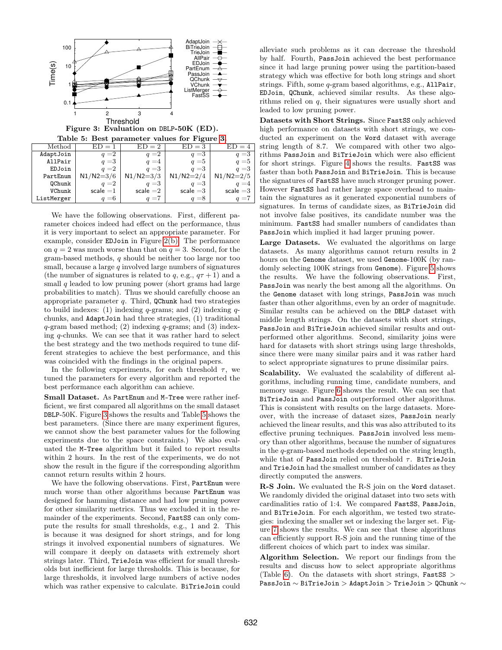

<span id="page-7-1"></span><span id="page-7-0"></span>Figure 3: Evaluation on DBLP-50K (ED).

|  |  | Table 5: Best parameter values for Figure 3. |  |  |  |
|--|--|----------------------------------------------|--|--|--|
|--|--|----------------------------------------------|--|--|--|

| Method        | $ED = 1$      | $ED = 2$      | $ED = 3$    | $ED = 4$    |
|---------------|---------------|---------------|-------------|-------------|
| AdaptJoin     | $q = 2$       | $q = 2$       | $q = 3$     | $q = 3$     |
| AllPair       | $q = 3$       | $q = 4$       | $q = 5$     | $q = 5$     |
| EDJoin        | $q = 2$       | $q = 3$       | $q = 3$     | $q = 3$     |
| PartEnum      | $N1/N2 = 3/6$ | $N1/N2 = 3/3$ | $N1/N2=2/4$ | $N1/N2=2/5$ |
| <b>OChunk</b> | $q = 2$       | $q = 3$       | $q = 3$     | $q = 4$     |
| VChunk        | $scale = 1$   | $scale = 2$   | scale $=$ 3 | scale $=3$  |
| ListMerger    | $q = 6$       | $q = 7$       | $q = 8$     | $=7$        |
|               |               |               |             |             |

We have the following observations. First, different parameter choices indeed had effect on the performance, thus it is very important to select an appropriate parameter. For example, consider EDJoin in Figure [2\(b\).](#page-6-9) The performance on  $q = 2$  was much worse than that on  $q = 3$ . Second, for the gram-based methods, q should be neither too large nor too small, because a large  $q$  involved large numbers of signatures (the number of signatures is related to q, e.g.,  $q\tau + 1$ ) and a small  $q$  leaded to low pruning power (short grams had large probabilities to match). Thus we should carefully choose an appropriate parameter  $q$ . Third, QChunk had two strategies to build indexes: (1) indexing  $q$ -grams; and (2) indexing  $q$ chunks, and AdaptJoin had three strategies, (1) traditional  $q$ -gram based method; (2) indexing  $q$ -grams; and (3) indexing q-chunks. We can see that it was rather hard to select the best strategy and the two methods required to tune different strategies to achieve the best performance, and this was coincided with the findings in the original papers.

In the following experiments, for each threshold  $\tau$ , we tuned the parameters for every algorithm and reported the best performance each algorithm can achieve.

Small Dataset. As PartEnum and M-Tree were rather inefficient, we first compared all algorithms on the small dataset DBLP-50K. Figure [3](#page-7-0) shows the results and Table [5](#page-7-1) shows the best parameters. (Since there are many experiment figures, we cannot show the best parameter values for the following experiments due to the space constraints.) We also evaluated the M-Tree algorithm but it failed to report results within 2 hours. In the rest of the experiments, we do not show the result in the figure if the corresponding algorithm cannot return results within 2 hours.

We have the following observations. First, PartEnum were much worse than other algorithms because PartEnum was designed for hamming distance and had low pruning power for other similarity metrics. Thus we excluded it in the remainder of the experiments. Second, FastSS can only compute the results for small thresholds, e.g., 1 and 2. This is because it was designed for short strings, and for long strings it involved exponential numbers of signatures. We will compare it deeply on datasets with extremely short strings later. Third, TrieJoin was efficient for small thresholds but inefficient for large thresholds. This is because, for large thresholds, it involved large numbers of active nodes which was rather expensive to calculate. BiTrieJoin could alleviate such problems as it can decrease the threshold by half. Fourth, PassJoin achieved the best performance since it had large pruning power using the partition-based strategy which was effective for both long strings and short strings. Fifth, some q-gram based algorithms, e.g., AllPair, EDJoin, QChunk, achieved similar results. As these algorithms relied on q, their signatures were usually short and leaded to low pruning power.

Datasets with Short Strings. Since FastSS only achieved high performance on datasets with short strings, we conducted an experiment on the Word dataset with average string length of 8.7. We compared with other two algorithms PassJoin and BiTrieJoin which were also efficient for short strings. Figure [4](#page-8-0) shows the results. FastSS was faster than both PassJoin and BiTrieJoin. This is because the signatures of FastSS have much stronger pruning power. However FastSS had rather large space overhead to maintain the signatures as it generated exponential numbers of signatures. In terms of candidate sizes, as BiTrieJoin did not involve false positives, its candidate number was the minimum. FastSS had smaller numbers of candidates than PassJoin which implied it had larger pruning power.

Large Datasets. We evaluated the algorithms on large datasets. As many algorithms cannot return results in 2 hours on the Genome dataset, we used Genome-100K (by randomly selecting 100K strings from Genome). Figure [5](#page-8-1) shows the results. We have the following observations. First, PassJoin was nearly the best among all the algorithms. On the Genome dataset with long strings, PassJoin was much faster than other algorithms, even by an order of magnitude. Similar results can be achieved on the DBLP dataset with middle length strings. On the datasets with short strings, PassJoin and BiTrieJoin achieved similar results and outperformed other algorithms. Second, similarity joins were hard for datasets with short strings using large thresholds, since there were many similar pairs and it was rather hard to select appropriate signatures to prune dissimilar pairs.

Scalability. We evaluated the scalability of different algorithms, including running time, candidate numbers, and memory usage. Figure [6](#page-8-2) shows the result. We can see that BiTrieJoin and PassJoin outperformed other algorithms. This is consistent with results on the large datasets. Moreover, with the increase of dataset sizes, PassJoin nearly achieved the linear results, and this was also attributed to its effective pruning techniques. PassJoin involved less memory than other algorithms, because the number of signatures in the q-gram-based methods depended on the string length, while that of PassJoin relied on threshold  $\tau$ . BiTrieJoin and TrieJoin had the smallest number of candidates as they directly computed the answers.

R-S Join. We evaluated the R-S join on the Word dataset. We randomly divided the original dataset into two sets with cardinalities ratio of 1:4. We compared FastSS, PassJoin, and BiTrieJoin. For each algorithm, we tested two strategies: indexing the smaller set or indexing the larger set. Figure [7](#page-8-3) shows the results. We can see that these algorithms can efficiently support R-S join and the running time of the different choices of which part to index was similar.

Algorithm Selection. We report our findings from the results and discuss how to select appropriate algorithms (Table [6\)](#page-8-4). On the datasets with short strings,  $FastSS$ ) PassJoin ∼ BiTrieJoin > AdaptJoin > TrieJoin > QChunk ∼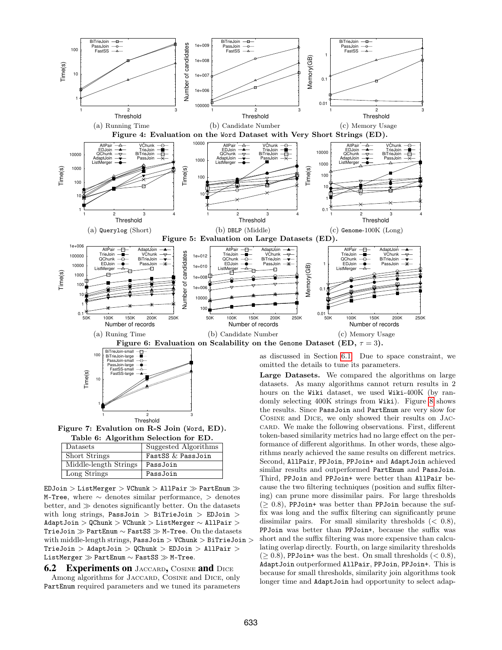<span id="page-8-0"></span>

Threshold Figure 7: Evalution on R-S Join (Word, ED). Table 6: Algorithm Selection for ED.

<span id="page-8-4"></span><span id="page-8-3"></span>1 2 3

<span id="page-8-2"></span>1

| Datasets              | Suggested Algorithms |
|-----------------------|----------------------|
| <b>Short Strings</b>  | FastSS & PassJoin    |
| Middle-length Strings | PassJoin             |
| Long Strings          | PassJoin             |

 $EDJoin$  > ListMerger > VChunk > AllPair  $\gg$  PartEnum  $\gg$ M-Tree, where ∼ denotes similar performance, > denotes better, and  $\gg$  denotes significantly better. On the datasets with long strings, PassJoin > BiTrieJoin > EDJoin > AdaptJoin > QChunk > VChunk > ListMerger ∼ AllPair > TrieJoin ≫ PartEnum ∼ FastSS ≫ M-Tree. On the datasets with middle-length strings,  $PassJoin$  > VChunk > BiTrieJoin >  $Trieloin > AdaptJoin > QChunk > EDJoin > AllPair >$ ListMerger ≫ PartEnum ~ FastSS > M-Tree.

**6.2 Experiments on** JACCARD, COSINE and DICE Among algorithms for JACCARD, COSINE and DICE, only PartEnum required parameters and we tuned its parameters <span id="page-8-1"></span>as discussed in Section [6.1.](#page-6-10) Due to space constraint, we

datasets. As many algorithms cannot return results in 2 hours on the Wiki dataset, we used Wiki-400K (by randomly selecting 400K strings from Wiki). Figure [8](#page-9-0) shows the results. Since PassJoin and PartEnum are very slow for Cosine and Dice, we only showed their results on Jaccard. We make the following observations. First, different token-based similarity metrics had no large effect on the performance of different algorithms. In other words, these algorithms nearly achieved the same results on different metrics. Second, AllPair, PPJoin, PPJoin+ and AdaptJoin achieved similar results and outperformed PartEnum and PassJoin. Third, PPJoin and PPJoin+ were better than AllPair because the two filtering techniques (position and suffix filtering) can prune more dissimilar pairs. For large thresholds  $(\geq 0.8)$ , PPJoin+ was better than PPJoin because the suffix was long and the suffix filtering can significantly prune dissimilar pairs. For small similarity thresholds  $( $0.8$ ),$ PPJoin was better than PPJoin+, because the suffix was short and the suffix filtering was more expensive than calculating overlap directly. Fourth, on large similarity thresholds  $(\geq 0.8)$ , PPJoin+ was the best. On small thresholds  $(< 0.8)$ , AdaptJoin outperformed AllPair, PPJoin, PPJoin+. This is because for small thresholds, similarity join algorithms took longer time and AdaptJoin had opportunity to select adap-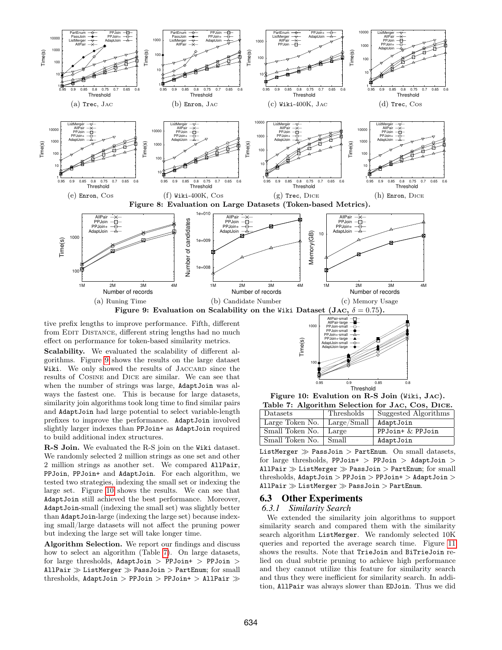

<span id="page-9-1"></span><span id="page-9-0"></span>from EDIT DISTANCE, different string lengths had no much effect on performance for token-based similarity metrics.

Scalability. We evaluated the scalability of different algorithms. Figure [9](#page-9-1) shows the results on the large dataset Wiki. We only showed the results of JACCARD since the results of Cosine and Dice are similar. We can see that when the number of strings was large, AdaptJoin was always the fastest one. This is because for large datasets, similarity join algorithms took long time to find similar pairs and AdaptJoin had large potential to select variable-length prefixes to improve the performance. AdaptJoin involved slightly larger indexes than PPJoin+ as AdaptJoin required to build additional index structures.

R-S Join. We evaluated the R-S join on the Wiki dataset. We randomly selected 2 million strings as one set and other 2 million strings as another set. We compared AllPair, PPJoin, PPJoin+ and AdaptJoin. For each algorithm, we tested two strategies, indexing the small set or indexing the large set. Figure [10](#page-9-2) shows the results. We can see that AdaptJoin still achieved the best performance. Moreover, AdaptJoin-small (indexing the small set) was slightly better than AdaptJoin-large (indexing the large set) because indexing small/large datasets will not affect the pruning power but indexing the large set will take longer time.

Algorithm Selection. We report our findings and discuss how to select an algorithm (Table [7\)](#page-9-3). On large datasets, for large thresholds, AdaptJoin > PPJoin > PPJoin > AllPair  $\gg$  ListMerger  $\gg$  PassJoin  $>$  PartEnum; for small thresholds, AdaptJoin > PPJoin > PPJoin+ > AllPair



<span id="page-9-3"></span><span id="page-9-2"></span>0.95 0.9 0.85 0.8

**Threshold** 

| Table 7: Algorithm Selection for JAC, Cos, DICE. |             |                      |  |  |
|--------------------------------------------------|-------------|----------------------|--|--|
| Datasets                                         | Thresholds  | Suggested Algorithms |  |  |
| Large Token No.                                  | Large/Small | AdaptJoin            |  |  |
| Small Token No.                                  | Large       | PPJoin+ $\&$ PPJoin  |  |  |
| Small Token No.                                  | Small       | AdaptJoin            |  |  |

ListMerger  $\gg$  PassJoin  $>$  PartEnum. On small datasets, for large thresholds, PPJoin+ > PPJoin > AdaptJoin > AllPair  $\gg$  ListMerger  $\gg$  PassJoin  $>$  PartEnum; for small thresholds, AdaptJoin > PPJoin > PPJoin+ > AdaptJoin > AllPair  $\gg$  ListMerger  $\gg$  PassJoin  $>$  PartEnum.

# 6.3 Other Experiments

 $100 \triangleleft$ 

PPJoin-small PPJoin+-small PPJoin+-large -AdaptJoin-small AdaptJoin-large

Time(s)

#### *6.3.1 Similarity Search*

We extended the similarity join algorithms to support similarity search and compared them with the similarity search algorithm ListMerger. We randomly selected 10K queries and reported the average search time. Figure [11](#page-10-0) shows the results. Note that TrieJoin and BiTrieJoin relied on dual subtrie pruning to achieve high performance and they cannot utilize this feature for similarity search and thus they were inefficient for similarity search. In addition, AllPair was always slower than EDJoin. Thus we did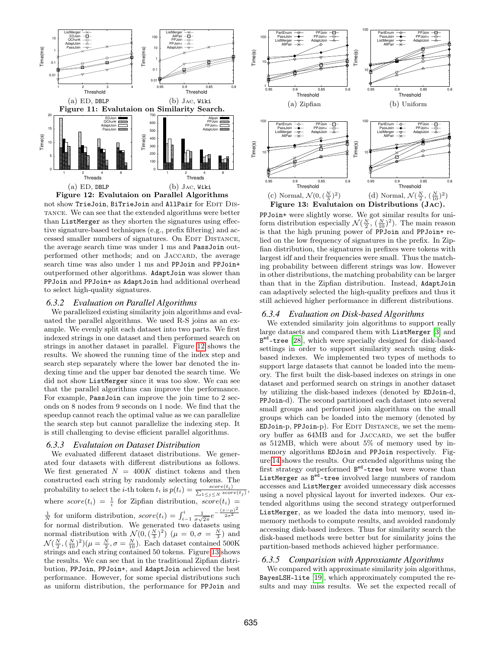<span id="page-10-0"></span>

<span id="page-10-1"></span>

than ListMerger as they shorten the signatures using effective signature-based techniques (e.g., prefix filtering) and accessed smaller numbers of signatures. On EDIT DISTANCE, the average search time was under 1 ms and PassJoin outperformed other methods; and on JACCARD, the average search time was also under 1 ms and PPJoin and PPJoin+ outperformed other algorithms. AdaptJoin was slower than PPJoin and PPJoin+ as AdaptJoin had additional overhead to select high-quality signatures.

#### *6.3.2 Evaluation on Parallel Algorithms*

We parallelized existing similarity join algorithms and evaluated the parallel algorithms. We used R-S joins as an example. We evenly split each dataset into two parts. We first indexed strings in one dataset and then performed search on strings in another dataset in parallel. Figure [12](#page-10-1) shows the results. We showed the running time of the index step and search step separately where the lower bar denoted the indexing time and the upper bar denoted the search time. We did not show ListMerger since it was too slow. We can see that the parallel algorithms can improve the performance. For example, PassJoin can improve the join time to 2 seconds on 8 nodes from 9 seconds on 1 node. We find that the speedup cannot reach the optimal value as we can parallelize the search step but cannot parallelize the indexing step. It is still challenging to devise efficient parallel algorithms.

#### *6.3.3 Evalutaion on Dataset Distribution*

We evaluated different dataset distributions. We generated four datasets with different distributions as follows. We first generated  $N = 400K$  distinct tokens and then constructed each string by randomly selecting tokens. The probability to select the *i*-th token  $t_i$  is  $p(t_i) = \frac{score(t_i)}{\sum_{1 \leq j \leq N} score(t_j)}$ where  $score(t_i) = \frac{1}{i}$  for Zipfian distribution,  $score(t_i) =$  $\frac{1}{N}$  for uniform distribution,  $score(t_i) = \int_{i-1}^{i} \frac{1}{\sigma \sqrt{2\pi}} e^{-\frac{(x-\mu)^2}{2\sigma^2}}$ for normal distribution. We generated two datasets using normal distribution with  $\mathcal{N}(0, (\frac{N}{3})^2)$   $(\mu = 0, \sigma = \frac{N}{3})$  and  $\mathcal{N}(\frac{N}{2},(\frac{N}{10})^2)(\mu=\frac{N}{2},\sigma=\frac{N}{10})$ . Each dataset contained 500K strings and each string contained 50 tokens. Figure [13](#page-10-2) shows the results. We can see that in the traditional Zipfian distribution, PPJoin, PPJoin+, and AdaptJoin achieved the best performance. However, for some special distributions such as uniform distribution, the performance for PPJoin and



<span id="page-10-2"></span>PPJoin+ were slightly worse. We got similar results for uniform distribution especially  $\mathcal{N}(\frac{N}{2}, (\frac{N}{10})^2)$ . The main reason is that the high pruning power of PPJoin and PPJoin+ relied on the low frequency of signatures in the prefix. In Zipfian distribution, the signatures in prefixes were tokens with largest idf and their frequencies were small. Thus the matching probability between different strings was low. However in other distributions, the matching probability can be larger than that in the Zipfian distribution. Instead, AdaptJoin can adaptively selected the high-quality prefixes and thus it still achieved higher performance in different distributions.

## *6.3.4 Evaluation on Disk-based Algorithms*

We extended similarity join algorithms to support really large datasets and compared them with ListMerger [\[3\]](#page-11-27) and B<sup>ed</sup>-tree [\[28\]](#page-11-10), which were specially designed for disk-based settings in order to support similarity search using diskbased indexes. We implemented two types of methods to support large datasets that cannot be loaded into the memory. The first built the disk-based indexes on strings in one dataset and performed search on strings in another dataset by utilizing the disk-based indexes (denoted by EDJoin-d, PPJoin-d). The second partitioned each dataset into several small groups and performed join algorithms on the small groups which can be loaded into the memory (denoted by EDJoin-p, PPJoin-p). For EDIT DISTANCE, we set the memory buffer as 64MB and for Jaccard, we set the buffer as 512MB, which were about 5% of memory used by inmemory algorithms EDJoin and PPJoin respectively. Figure [14](#page-11-28) shows the results. Our extended algorithms using the first strategy outperformed  $B^{ed}$ -tree but were worse than ListMerger as  $B^{ed}$ -tree involved large numbers of random accesses and ListMerger avoided unnecessary disk accesses using a novel physical layout for inverted indexes. Our extended algorithms using the second strategy outperformed ListMerger, as we loaded the data into memory, used inmemory methods to compute results, and avoided randomly accessing disk-based indexes. Thus for similarity search the disk-based methods were better but for similarity joins the partition-based methods achieved higher performance.

#### *6.3.5 Comparision with Approxiamte Algorithms*

We compared with approximate similarity join algorithms, BayesLSH-lite [\[19\]](#page-11-24), which approximately computed the results and may miss results. We set the expected recall of

,